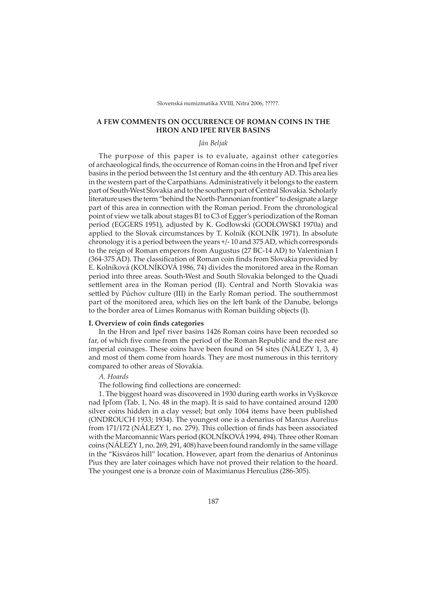# **A FEW COMMENTS ON OCCURRENCE OF ROMAN COINS IN THE HRON AND IPEĽ RIVER BASINS**

# *Ján Beljak*

The purpose of this paper is to evaluate, against other categories of archaeological finds, the occurrence of Roman coins in the Hron and Ipeľ river basins in the period between the 1st century and the 4th century AD. This area lies in the western part of the Carpathians. Administratively it belongs to the eastern part of South-West Slovakia and to the southern part of Central Slovakia. Scholarly literature uses the term "behind the North-Pannonian frontier" to designate a large part of this area in connection with the Roman period. From the chronological point of view we talk about stages B1 to C3 of Egger's periodization of the Roman period (EGGERS 1951), adjusted by K. Godłowski (GODŁOWSKI 1970a) and applied to the Slovak circumstances by T. Kolník (KOLNÍK 1971). In absolute chronology it is a period between the years +/- 10 and 375 AD, which corresponds to the reign of Roman emperors from Augustus (27 BC-14 AD) to Valentinian I (364-375 AD). The classification of Roman coin finds from Slovakia provided by E. Kolníková (KOLNÍKOVÁ 1986, 74) divides the monitored area in the Roman period into three areas. South-West and South Slovakia belonged to the Quadi settlement area in the Roman period (II). Central and North Slovakia was settled by Púchov culture (III) in the Early Roman period. The southernmost part of the monitored area, which lies on the left bank of the Danube, belongs to the border area of Limes Romanus with Roman building objects (I).

#### **I. Overview of coin finds categories**

In the Hron and Ipeľ river basins 1426 Roman coins have been recorded so far, of which five come from the period of the Roman Republic and the rest are imperial coinages. These coins have been found on 54 sites (NÁLEZY 1, 3, 4) and most of them come from hoards. They are most numerous in this territory compared to other areas of Slovakia.

### *A. Hoards*

The following find collections are concerned:

1. The biggest hoard was discovered in 1930 during earth works in Vyškovce nad Ipľom (Tab. 1, No. 48 in the map). It is said to have contained around 1200 silver coins hidden in a clay vessel; but only 1064 items have been published (ONDROUCH 1933; 1934). The youngest one is a denarius of Marcus Aurelius from 171/172 (NÁLEZY 1, no. 279). This collection of finds has been associated with the Marcomannic Wars period (KOLNÍKOVÁ 1994, 494). Three other Roman coins (NÁLEZY 1, no. 269, 291, 408) have been found randomly in the same village in the "Kisváros hill" location. However, apart from the denarius of Antoninus Pius they are later coinages which have not proved their relation to the hoard. The youngest one is a bronze coin of Maximianus Herculius (286-305).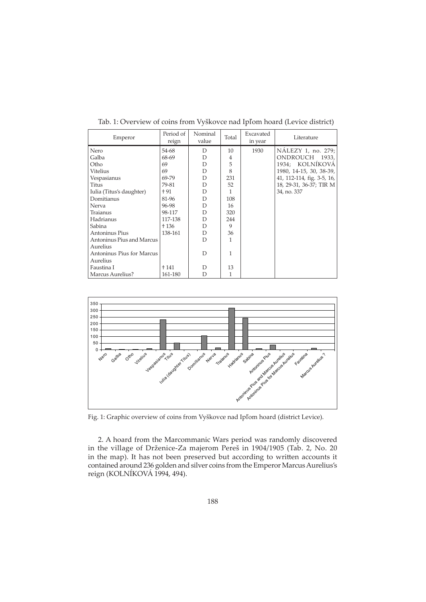| Emperor                   | Period of<br>reign | Nominal<br>value | Total          | Excavated<br>in year | Literature                 |
|---------------------------|--------------------|------------------|----------------|----------------------|----------------------------|
| Nero                      | 54-68              | D                | 10             | 1930                 | NÁLEZY 1, no. 279;         |
| Galba                     | 68-69              | D                | $\overline{4}$ |                      | ONDROUCH 1933,             |
| Otho                      | 69                 | D                | 5              |                      | 1934; KOLNÍKOVÁ            |
| Vitelius                  | 69                 | D                | 8              |                      | 1980, 14-15, 30, 38-39,    |
| Vespasianus               | 69-79              | D                | 231            |                      | 41, 112-114, fig. 3-5, 16, |
| Titus                     | 79-81              | D                | 52             |                      | 18, 29-31, 36-37; TIR M    |
| Iulia (Titus's daughter)  | † 91               | D                | 1.             |                      | 34, no. 337                |
| Domitianus                | 81-96              | D                | 108            |                      |                            |
| Nerva                     | 96-98              | D                | 16             |                      |                            |
| Traianus                  | 98-117             | D                | 320            |                      |                            |
| Hadrianus                 | 117-138            | D                | 244            |                      |                            |
| Sabina                    | + 136              | D                | 9              |                      |                            |
| Antoninus Pius            | 138-161            | D                | 36             |                      |                            |
| Antoninus Pius and Marcus |                    | D                | 1              |                      |                            |
| Aurelius                  |                    |                  |                |                      |                            |
| Antoninus Pius for Marcus |                    | D                | 1              |                      |                            |
| Aurelius                  |                    |                  |                |                      |                            |
| Faustina I                | † 141              | D                | 13             |                      |                            |
| Marcus Aurelius?          | 161-180            | D                | 1              |                      |                            |

Tab. 1: Overview of coins from Vyškovce nad Ipľom hoard (Levice district)



Fig. 1: Graphic overview of coins from Vyškovce nad Ipľom hoard (district Levice).

2. A hoard from the Marcommanic Wars period was randomly discovered in the village of Drženice-Za majerom Pereš in 1904/1905 (Tab. 2, No. 20 in the map). It has not been preserved but according to written accounts it contained around 236 golden and silver coins from the Emperor Marcus Aurelius's reign (KOLNÍKOVÁ 1994, 494).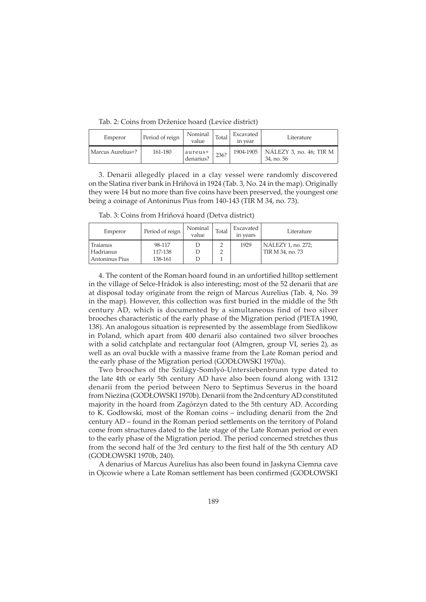Tab. 2: Coins from Drženice hoard (Levice district)

| Emperor           | Period of reign | Nominal<br>value     | Total | Excavated<br>in year | Literature                                          |
|-------------------|-----------------|----------------------|-------|----------------------|-----------------------------------------------------|
| Marcus Aurelius+? | 161-180         | aureus+<br>denarius? | 236?  |                      | 1904-1905   NÁLEZY 3, no. 46; TIR M  <br>34, no. 56 |

3. Denarii allegedly placed in a clay vessel were randomly discovered on the Slatina river bank in Hriňová in 1924 (Tab. 3, No. 24 in the map). Originally they were 14 but no more than five coins have been preserved, the youngest one being a coinage of Antoninus Pius from 140-143 (TIR M 34, no. 73).

Tab. 3: Coins from Hriňová hoard (Detva district)

| Emperor        | Period of reign | Nominal<br>value | Total | Excavated<br>in years | Literature         |
|----------------|-----------------|------------------|-------|-----------------------|--------------------|
| Traianus       | 98-117          |                  |       | 1929                  | NALEZY 1, no. 272; |
| Hadrianus      | 117-138         |                  |       |                       | TIR M 34, no. 73   |
| Antoninus Pius | 138-161         |                  |       |                       |                    |

4. The content of the Roman hoard found in an unfortified hilltop settlement in the village of Selce-Hrádok is also interesting; most of the 52 denarii that are at disposal today originate from the reign of Marcus Aurelius (Tab. 4, No. 39 in the map). However, this collection was first buried in the middle of the 5th century AD, which is documented by a simultaneous find of two silver brooches characteristic of the early phase of the Migration period (PIETA 1990, 138). An analogous situation is represented by the assemblage from Siedlikow in Poland, which apart from 400 denarii also contained two silver brooches with a solid catchplate and rectangular foot (Almgren, group VI, series 2), as well as an oval buckle with a massive frame from the Late Roman period and the early phase of the Migration period (GODŁOWSKI 1970a).

Two brooches of the Szilágy-Somlyó-Untersiebenbrunn type dated to the late 4th or early 5th century AD have also been found along with 1312 denarii from the period between Nero to Septimus Severus in the hoard from Nieżina (GODŁOWSKI 1970b). Denarii from the 2nd century AD constituted majority in the hoard from Zagórzyn dated to the 5th century AD. According to K. Godłowski, most of the Roman coins – including denarii from the 2nd century AD – found in the Roman period settlements on the territory of Poland come from structures dated to the late stage of the Late Roman period or even to the early phase of the Migration period. The period concerned stretches thus from the second half of the 3rd century to the first half of the 5th century AD (GODŁOWSKI 1970b, 240).

A denarius of Marcus Aurelius has also been found in Jaskyna Ciemna cave in Ojcowie where a Late Roman settlement has been confirmed (GODŁOWSKI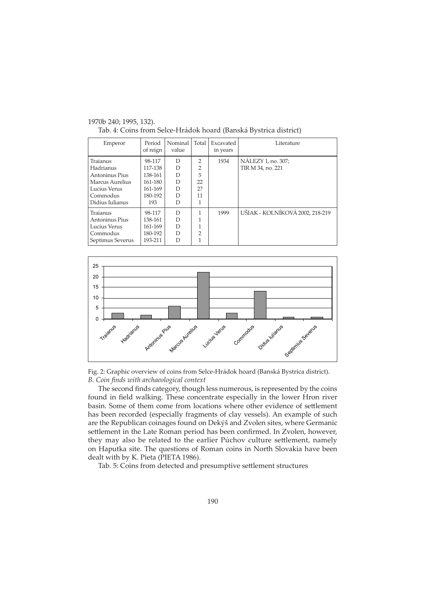| Emperor                                                                                                   | Period<br>of reign                                                   | Nominal<br>value                | Total                                     | Excavated<br>in years | Literature                              |
|-----------------------------------------------------------------------------------------------------------|----------------------------------------------------------------------|---------------------------------|-------------------------------------------|-----------------------|-----------------------------------------|
| Traianus<br>Hadrianus<br>Antoninus Pius<br>Marcus Aurelius<br>Lucius Verus<br>Commodus<br>Didius Iulianus | 98-117<br>117-138<br>138-161<br>161-180<br>161-169<br>180-192<br>193 | D<br>D<br>D<br>D<br>D<br>D<br>D | $\mathcal{P}$<br>2<br>5<br>22<br>2?<br>11 | 1934                  | NÁLEZY 1, no. 307;<br>TIR M 34, no. 221 |
| Traianus<br>Antoninus Pius<br>Lucius Verus<br>Commodus<br>Septimus Severus                                | 98-117<br>138-161<br>161-169<br>180-192<br>193-211                   | D<br>D<br>D<br>D<br>D           | っ                                         | 1999                  | UŠIAK - KOLNÍKOVÁ 2002, 218-219         |

1970b 240; 1995, 132). Tab. 4: Coins from Selce-Hrádok hoard (Banská Bystrica district)





The second finds category, though less numerous, is represented by the coins found in field walking. These concentrate especially in the lower Hron river basin. Some of them come from locations where other evidence of settlement has been recorded (especially fragments of clay vessels). An example of such are the Republican coinages found on Dekýš and Zvolen sites, where Germanic settlement in the Late Roman period has been confirmed. In Zvolen, however, they may also be related to the earlier Púchov culture settlement, namely on Haputka site. The questions of Roman coins in North Slovakia have been dealt with by K. Pieta (PIETA 1986).

Tab. 5: Coins from detected and presumptive settlement structures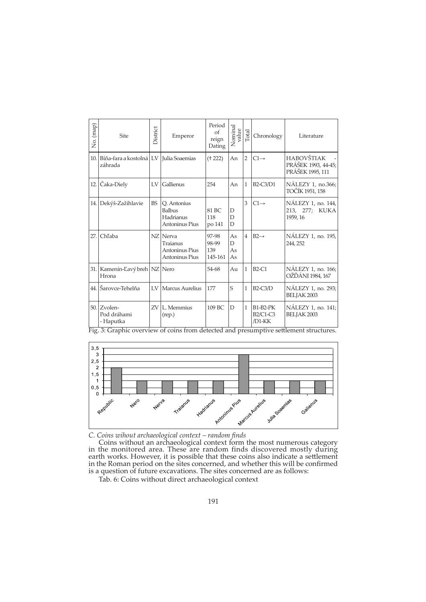| No. (map)                                                                                           | Site                                                                                                                                                                                     | District | Emperor                                                  | Period<br>of<br>reign<br>Dating       | Nominal<br>value                    | Total          | Chronology                            | Literature                                                                                                                                                                                                                                                                                                              |
|-----------------------------------------------------------------------------------------------------|------------------------------------------------------------------------------------------------------------------------------------------------------------------------------------------|----------|----------------------------------------------------------|---------------------------------------|-------------------------------------|----------------|---------------------------------------|-------------------------------------------------------------------------------------------------------------------------------------------------------------------------------------------------------------------------------------------------------------------------------------------------------------------------|
|                                                                                                     | 10. Bíňa-fara a kostolná LV Julia Soaemias<br>záhrada                                                                                                                                    |          |                                                          | († 222)                               | An                                  | 2              | $CI \rightarrow$                      | <b>HABOVŠTIAK</b><br>PRÁŠEK 1993, 44-45;<br>PRÁŠEK 1995, 111                                                                                                                                                                                                                                                            |
|                                                                                                     | 12. Čaka-Diely                                                                                                                                                                           |          | LV Gallienus                                             | 254                                   | An                                  |                | 1   $B2-C3/D1$                        | NÁLEZY 1, no.366;<br>TOČÍK 1951, 158                                                                                                                                                                                                                                                                                    |
|                                                                                                     | 14. Dekýš-Zažihlavie                                                                                                                                                                     |          | BS Q. Antonius<br>Balbus<br>Hadrianus<br>Antoninus Pius  | 81 BC<br>$118\,$<br>po 141            | $\mathbf D$<br>$\mathbf D$<br>D     |                | $ 3 C1 \rightarrow$                   | NÁLEZY 1, no. 144,<br>213, 277; KUKA<br>1959, 16                                                                                                                                                                                                                                                                        |
| 27. Chľaba                                                                                          |                                                                                                                                                                                          |          | NZ Nerva<br>Traianus<br>Antoninus Pius<br>Antoninus Pius | 97-98<br>98-99<br>139<br>$145-161$ As | $\rm As$<br>$\mathbb D$<br>$\rm As$ | $\overline{4}$ | $B2 \rightarrow$                      | NÁLEZY 1, no. 195,<br>244, 252                                                                                                                                                                                                                                                                                          |
| Hrona                                                                                               | 31. Kamenín-Ľavý breh NZ Nero                                                                                                                                                            |          |                                                          | 54-68                                 | Au                                  |                | $1$ B <sub>2</sub> -C <sub>1</sub>    | NÁLEZY 1, no. 166;<br>OŽĎÁNI 1984, 167                                                                                                                                                                                                                                                                                  |
|                                                                                                     | 44. Šarovce-Tehelňa                                                                                                                                                                      |          | LV Marcus Aurelius                                       | 177                                   | l S                                 |                | $1$ B <sub>2</sub> -C <sub>3</sub> /D | NÁLEZY 1, no. 293;<br>BELJAK 2003                                                                                                                                                                                                                                                                                       |
| $50.$ Zvolen-                                                                                       | Pod dráhami<br>- Haputka                                                                                                                                                                 |          | $ZV$ L. Memmius<br>(rep.)                                | $109$ BC $\vert D \vert$              |                                     |                | $1$ B1-B2-PK<br>B2/C1-C3<br>$/D1-KK$  | NÁLEZY 1, no. 141;<br>BELJAK 2003                                                                                                                                                                                                                                                                                       |
| 3,5<br>3<br>2,5<br>$\overline{c}$<br>1, 5<br>$\blacktriangleleft$<br>0,5<br>$\mathbf 0$<br>Republic | Nero                                                                                                                                                                                     | Netva    | Traianus                                                 | Hadrianus                             |                                     |                | Andonius Pius Andrew Livelius Saeme   | Fig. 3: Graphic overview of coins from detected and presumptive settlement structures.<br>Galienus                                                                                                                                                                                                                      |
|                                                                                                     | C. Coins wihout archaeological context – random finds<br>is a question of future excavations. The sites concerned are as follows:<br>Tab. 6: Coins without direct archaeological context |          |                                                          |                                       |                                     |                |                                       | Coins without an archaeological context form the most numerous category<br>in the monitored area. These are random finds discovered mostly during<br>earth works. However, it is possible that these coins also indicate a settlement<br>in the Roman period on the sites concerned, and whether this will be confirmed |
|                                                                                                     |                                                                                                                                                                                          |          |                                                          | 191                                   |                                     |                |                                       |                                                                                                                                                                                                                                                                                                                         |

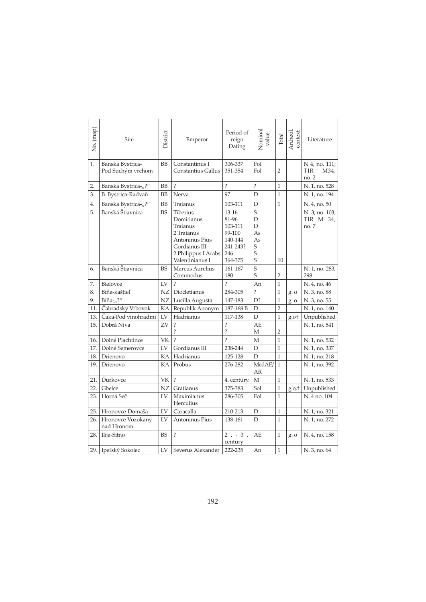| No. (map) | Site                                  | District  | Emperor                                                                                                                              | Period of<br>reign<br>Dating                                                     | Nominal<br>value                       | Total          | Archeol.<br>context | Literature                            |
|-----------|---------------------------------------|-----------|--------------------------------------------------------------------------------------------------------------------------------------|----------------------------------------------------------------------------------|----------------------------------------|----------------|---------------------|---------------------------------------|
| 1.        | Banská Bystrica-<br>Pod Suchým vrchom | <b>BB</b> | Constantinus I<br>Constantius Gallus                                                                                                 | 306-337<br>351-354                                                               | Fol<br>Fol                             | $\overline{2}$ |                     | N 4, no. 111;<br>M34,<br>TIR<br>no. 2 |
| 2.        | Banská Bystrica-"?"                   | BB        | $\overline{\cdot}$                                                                                                                   | $\overline{\mathcal{C}}$                                                         | $\overline{\cdot}$                     | $\mathbf{1}$   |                     | N. 1, no. 528                         |
| 3.        | B. Bystrica-Radvaň                    | BB        | Nerva                                                                                                                                | 97                                                                               | D                                      | 1              |                     | N. 1, no. 194                         |
| 4.        | Banská Bystrica-"?"                   | <b>BB</b> | Traianus                                                                                                                             | 103-111                                                                          | D                                      | $\mathbf{1}$   |                     | N. 4, no. 50                          |
| 5.        | Banská Štiavnica                      | <b>BS</b> | <b>Tiberius</b><br>Domitianus<br>Traianus<br>2 Traianus<br>Antoninus Pius<br>Gordianus III<br>2 Philippus I Arabs<br>Valentinianus I | $13 - 16$<br>81-96<br>103-111<br>99-100<br>140-144<br>241-243?<br>246<br>364-375 | S<br>D<br>D<br>As<br>As<br>S<br>S<br>S | 10             |                     | N. 3, no. 103;<br>TIR M 34,<br>no. 7  |
| 6.        | Banská Štiavnica                      | <b>BS</b> | Marcus Aurelius<br>Commodus                                                                                                          | 161-167<br>180                                                                   | $\overline{s}$<br>S                    | 2              |                     | N. 1, no. 283,<br>298                 |
| 7.        | Bielovce                              | LV        | $\gamma$                                                                                                                             | $\overline{\phantom{a}}$                                                         | An                                     | 1              |                     | N. 4, no. 46                          |
| 8.        | Bíňa-kaštieľ                          | NZ        | Diocletianus                                                                                                                         | 284-305                                                                          | $\overline{\mathcal{C}}$               | 1              | $g$ . $o$           | N. 3, no. 88                          |
| 9.        | Bíňa-"?"                              | NZ        | Lucilla Augusta                                                                                                                      | 147-183                                                                          | D?                                     | $\mathbf{1}$   | g. o                | N. 3, no. 55                          |
| 11.       | Čabradský Vrbovok                     | КA        | Republik Anonym                                                                                                                      | 187-168 B                                                                        | D                                      | $\overline{2}$ |                     | N. 1, no. 140                         |
| 13.       | Čaka-Pod vinohradmi                   | LV        | Hadrianus                                                                                                                            | 117-138                                                                          | D                                      | $\mathbf{1}$   | g.ot                | Unpublished                           |
| 15.       | Dobrá Niva                            | ZV        | $\overline{\cdot}$<br>?                                                                                                              | $\overline{\cdot}$<br>$\overline{\cdot}$                                         | AE<br>М                                | 2              |                     | N. 1, no. 541                         |
| 16.       | Dolné Plachtince                      | VK        | $\overline{\mathcal{C}}$                                                                                                             | $\overline{\mathcal{C}}$                                                         | M                                      | $\mathbf{1}$   |                     | N. 1, no. 532                         |
| 17.       | Dolné Semerovce                       | LV        | Gordianus III                                                                                                                        | 238-244                                                                          | D                                      | 1              |                     | N. 1, no. 337                         |
| 18.       | Drienovo                              | КA        | Hadrianus                                                                                                                            | 125-128                                                                          | D                                      | $\mathbf{1}$   |                     | N. 1, no. 218                         |
| 19.       | Drienovo                              | KA        | Probus                                                                                                                               | 276-282                                                                          | MedAE/<br>AR                           | $\mathbf{1}$   |                     | N. 1, no. 392                         |
| 21.       | Ďurkovce                              | VK        | $\overline{?}$                                                                                                                       | 4. century.                                                                      | М                                      | $\mathbf{1}$   |                     | N. 1, no. 533                         |
| 22.       | Gbelce                                | NZ        | Gratianus                                                                                                                            | 375-383                                                                          | Sol                                    | $\overline{1}$ | g.o.f               | Unpublished                           |
| 23.       | Horná Seč                             | LV        | Maximianus<br>Herculius                                                                                                              | 286-305                                                                          | Fol                                    | 1              |                     | N. 4 no. 104                          |
| 25.       | Hronovce-Domaša                       | LV        | Caracalla                                                                                                                            | 210-213                                                                          | D                                      | $\mathbf{1}$   |                     | N. 1, no. 321                         |
| 26.       | Hronovce-Vozokany<br>nad Hronom       | LV        | Antoninus Pius                                                                                                                       | 138-161                                                                          | D                                      | 1              |                     | N. 1, no. 272                         |
| 28.       | Ilija-Sitno                           | <b>BS</b> | $\overline{?}$                                                                                                                       | $2 - 3$ .<br>century                                                             | AE                                     | 1              | g. 0                | N. 4, no. 158                         |
| 29.       | Ipeľský Sokolec                       | LV        | Severus Alexander                                                                                                                    | 222-235                                                                          | An                                     | $\mathbf{1}$   |                     | N. 3, no. 64                          |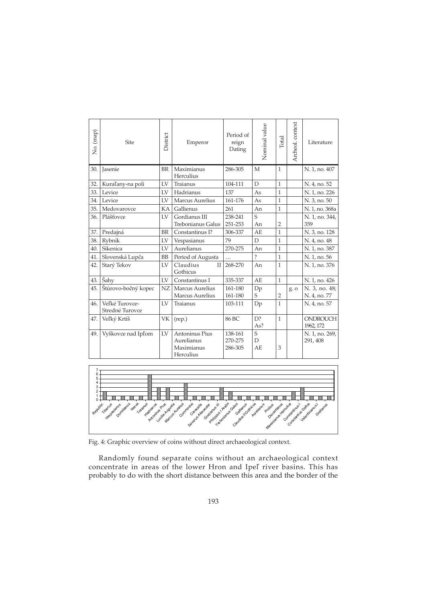| Archeol. context<br>Nominal value<br>Period of<br>Total<br>reign<br>Literature<br>Dating<br>N. 1, no. 407<br>286-305<br>M<br>$\mathbf{1}$<br>$\mathbf D$<br>104-111<br>$\mathbf{1}$<br>N. 4, no. 52<br>137<br>N. 1, no. 226<br>As<br>$\mathbf{1}$<br>As<br>N. 3, no. 50<br>161-176<br>$\mathbf{1}$<br>An<br>261<br>N. 1, no. 368a<br>$\mathbf{1}$<br>$\overline{S}$<br>238-241<br>N. 1, no. 344,<br>359<br>An<br>$\overline{2}$<br>251-253<br>$\mathbf{A}\mathbf{E}$<br>$\mathbf{1}$<br>N. 3, no. 128<br>306-337<br>79<br>$\mathbf D$<br>$\mathbf{1}$<br>N. 4, no. 48<br>270-275<br>An<br>$\mathbf{1}$<br>N. 1, no. 387 | Emperor<br>BR   Maximianus<br>Herculius<br>Traianus<br>Hadrianus<br>Marcus Aurelius<br>Gallienus | District<br>LV<br>LV<br>LV | Site<br>30. Jasenie<br>32. Kuraľany-na poli<br>Levice | No. (map)              |
|-------------------------------------------------------------------------------------------------------------------------------------------------------------------------------------------------------------------------------------------------------------------------------------------------------------------------------------------------------------------------------------------------------------------------------------------------------------------------------------------------------------------------------------------------------------------------------------------------------------------------|--------------------------------------------------------------------------------------------------|----------------------------|-------------------------------------------------------|------------------------|
|                                                                                                                                                                                                                                                                                                                                                                                                                                                                                                                                                                                                                         |                                                                                                  |                            |                                                       |                        |
|                                                                                                                                                                                                                                                                                                                                                                                                                                                                                                                                                                                                                         |                                                                                                  |                            |                                                       |                        |
|                                                                                                                                                                                                                                                                                                                                                                                                                                                                                                                                                                                                                         |                                                                                                  |                            |                                                       |                        |
|                                                                                                                                                                                                                                                                                                                                                                                                                                                                                                                                                                                                                         |                                                                                                  |                            |                                                       | 33.                    |
|                                                                                                                                                                                                                                                                                                                                                                                                                                                                                                                                                                                                                         |                                                                                                  |                            | Levice                                                | 34.                    |
|                                                                                                                                                                                                                                                                                                                                                                                                                                                                                                                                                                                                                         |                                                                                                  | KA                         | Medovarovce                                           | 35.                    |
|                                                                                                                                                                                                                                                                                                                                                                                                                                                                                                                                                                                                                         | Gordianus III<br>Trebonianus Galus                                                               | LV                         | Plášťovce                                             |                        |
|                                                                                                                                                                                                                                                                                                                                                                                                                                                                                                                                                                                                                         | Constantinus I?                                                                                  | BR                         | 37. Predajná                                          |                        |
|                                                                                                                                                                                                                                                                                                                                                                                                                                                                                                                                                                                                                         | Vespasianus                                                                                      | ${\rm LV}$                 | Rybník                                                | 38.                    |
|                                                                                                                                                                                                                                                                                                                                                                                                                                                                                                                                                                                                                         | Aurelianus                                                                                       | ${\rm LV}$                 | Sikenica                                              | 40.                    |
| $\overline{\phantom{0}}$<br>N. 1, no. 56<br>$\mathbf{1}$                                                                                                                                                                                                                                                                                                                                                                                                                                                                                                                                                                | Period of Augusta                                                                                | BB                         | 41. Slovenská Lupča                                   |                        |
| II 268-270<br>An<br>N. 1, no. 376<br>$\mathbf{1}$                                                                                                                                                                                                                                                                                                                                                                                                                                                                                                                                                                       | Claudius<br>Gothicus                                                                             | LV                         | 42. Starý Tekov                                       |                        |
| 335-337<br>$\mathbf{A}\mathbf{E}$<br>N. 1, no. 426<br>$\mathbf{1}$                                                                                                                                                                                                                                                                                                                                                                                                                                                                                                                                                      | Constantinus I                                                                                   | ${\rm LV}$                 | Šahy                                                  | 43.                    |
| $\frac{\text{Dp}}{\text{S}}$<br>N. 3, no. 48;<br>161-180<br>g. o<br>161-180<br>$\overline{2}$<br>N. 4, no. 77                                                                                                                                                                                                                                                                                                                                                                                                                                                                                                           | Marcus Aurelius<br>Marcus Aurelius                                                               | NZ                         | 45. Štúrovo-bočný kopec                               |                        |
| 1<br>Dp<br>N. 4, no. 57<br>103-111                                                                                                                                                                                                                                                                                                                                                                                                                                                                                                                                                                                      | Traianus                                                                                         | LV                         | Veľké Turovce-<br>Stredné Turovce                     | 46.                    |
| D?<br>1<br>ONDROUCH<br>86 BC<br>As?<br>1962, 172                                                                                                                                                                                                                                                                                                                                                                                                                                                                                                                                                                        | VK   (rep.)                                                                                      |                            | 47. Veľký Krtíš                                       |                        |
| N. 1, no. 269,<br>138-161<br>$\mathbf D$<br>291, 408<br>270-275<br>$\mathbf{A}\mathbf{E}$<br>286-305<br>3                                                                                                                                                                                                                                                                                                                                                                                                                                                                                                               | Aurelianus<br>Maximianus<br>Herculius                                                            |                            |                                                       |                        |
| $\mathbf S$<br>Level of the contract of the contract of the process of the contract of the contract of the contract of the contract of the contract of the contract of the contract of the contract of the contract of the contract of the co                                                                                                                                                                                                                                                                                                                                                                           | Antoninus Pius                                                                                   | LV                         |                                                       | 49. Vyškovce nad Ipľom |



Fig. 4: Graphic overview of coins without direct archaeological context.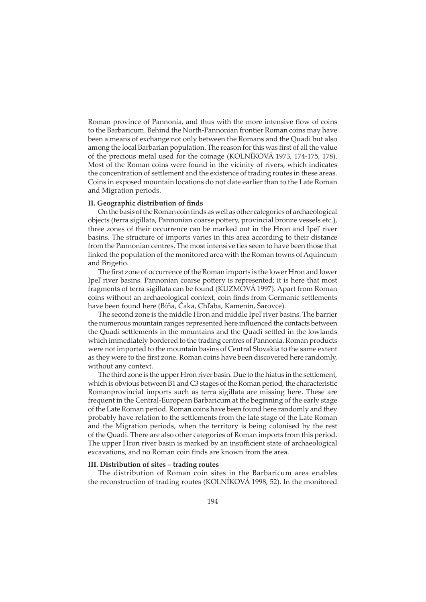Roman province of Pannonia, and thus with the more intensive flow of coins to the Barbaricum. Behind the North-Pannonian frontier Roman coins may have been a means of exchange not only between the Romans and the Quadi but also among the local Barbarian population. The reason for this was first of all the value of the precious metal used for the coinage (KOLNÍKOVÁ 1973, 174-175, 178). Most of the Roman coins were found in the vicinity of rivers, which indicates the concentration of settlement and the existence of trading routes in these areas. Coins in exposed mountain locations do not date earlier than to the Late Roman and Migration periods.

# **II. Geographic distribution of finds**

On the basis of the Roman coin finds as well as other categories of archaeological objects (terra sigillata, Pannonian coarse po�ery, provincial bronze vessels etc.), three zones of their occurrence can be marked out in the Hron and Ipeľ river basins. The structure of imports varies in this area according to their distance from the Pannonian centres. The most intensive ties seem to have been those that linked the population of the monitored area with the Roman towns of Aquincum and Brigetio.

The first zone of occurrence of the Roman imports is the lower Hron and lower Ipeľ river basins. Pannonian coarse po�ery is represented; it is here that most fragments of terra sigillata can be found (KUZMOVÁ 1997). Apart from Roman coins without an archaeological context, coin finds from Germanic settlements have been found here (Bíňa, Čaka, Chľaba, Kamenín, Šarovce).

The second zone is the middle Hron and middle Ipeľ river basins. The barrier the numerous mountain ranges represented here influenced the contacts between the Quadi settlements in the mountains and the Quadi settled in the lowlands which immediately bordered to the trading centres of Pannonia. Roman products were not imported to the mountain basins of Central Slovakia to the same extent as they were to the first zone. Roman coins have been discovered here randomly, without any context.

The third zone is the upper Hron river basin. Due to the hiatus in the settlement, which is obvious between B1 and C3 stages of the Roman period, the characteristic Romanprovincial imports such as terra sigillata are missing here. These are frequent in the Central-European Barbaricum at the beginning of the early stage of the Late Roman period. Roman coins have been found here randomly and they probably have relation to the settlements from the late stage of the Late Roman and the Migration periods, when the territory is being colonised by the rest of the Quadi. There are also other categories of Roman imports from this period. The upper Hron river basin is marked by an insufficient state of archaeological excavations, and no Roman coin finds are known from the area.

### **III. Distribution of sites – trading routes**

The distribution of Roman coin sites in the Barbaricum area enables the reconstruction of trading routes (KOLNÍKOVÁ 1998, 52). In the monitored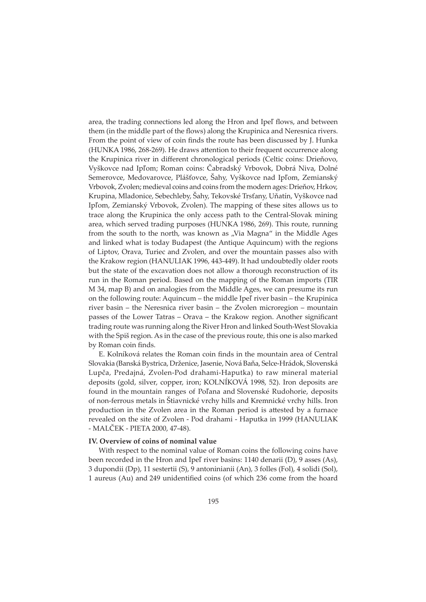area, the trading connections led along the Hron and Ipeľ flows, and between them (in the middle part of the flows) along the Krupinica and Neresnica rivers. From the point of view of coin finds the route has been discussed by J. Hunka (HUNKA 1986, 268-269). He draws a�ention to their frequent occurrence along the Krupinica river in different chronological periods (Celtic coins: Drieňovo, Vyškovce nad Ipľom; Roman coins: Čabradský Vrbovok, Dobrá Niva, Dolné Semerovce, Medovarovce, Plášťovce, Šahy, Vyškovce nad Ipľom, Zemianský Vrbovok, Zvolen; medieval coins and coins from the modern ages: Drieňov, Hrkov, Krupina, Mladonice, Sebechleby, Šahy, Tekovské Trsťany, Uňatín, Vyškovce nad Ipľom, Zemianský Vrbovok, Zvolen). The mapping of these sites allows us to trace along the Krupinica the only access path to the Central-Slovak mining area, which served trading purposes (HUNKA 1986, 269). This route, running from the south to the north, was known as "Via Magna" in the Middle Ages and linked what is today Budapest (the Antique Aquincum) with the regions of Liptov, Orava, Turiec and Zvolen, and over the mountain passes also with the Krakow region (HANULIAK 1996, 443-449). It had undoubtedly older roots but the state of the excavation does not allow a thorough reconstruction of its run in the Roman period. Based on the mapping of the Roman imports (TIR M 34, map B) and on analogies from the Middle Ages, we can presume its run on the following route: Aquincum – the middle Ipeľ river basin – the Krupinica river basin – the Neresnica river basin – the Zvolen microregion – mountain passes of the Lower Tatras – Orava – the Krakow region. Another significant trading route was running along the River Hron and linked South-West Slovakia with the Spiš region. As in the case of the previous route, this one is also marked by Roman coin finds.

E. Kolníková relates the Roman coin finds in the mountain area of Central Slovakia (Banská Bystrica, Drženice, Jasenie, Nová Baňa, Selce-Hrádok, Slovenská Lupča, Predajná, Zvolen-Pod drahami-Haputka) to raw mineral material deposits (gold, silver, copper, iron; KOLNÍKOVÁ 1998, 52). Iron deposits are found in the mountain ranges of Poľana and Slovenské Rudohorie, deposits of non-ferrous metals in Štiavnické vrchy hills and Kremnické vrchy hills. Iron production in the Zvolen area in the Roman period is attested by a furnace revealed on the site of Zvolen - Pod drahami - Haputka in 1999 (HANULIAK - MALČEK - PIETA 2000, 47-48).

# **IV. Overview of coins of nominal value**

With respect to the nominal value of Roman coins the following coins have been recorded in the Hron and Ipeľ river basins: 1140 denarii (D), 9 asses (As), 3 dupondii (Dp), 11 sestertii (S), 9 antoninianii (An), 3 folles (Fol), 4 solidi (Sol), 1 aureus (Au) and 249 unidentified coins (of which 236 come from the hoard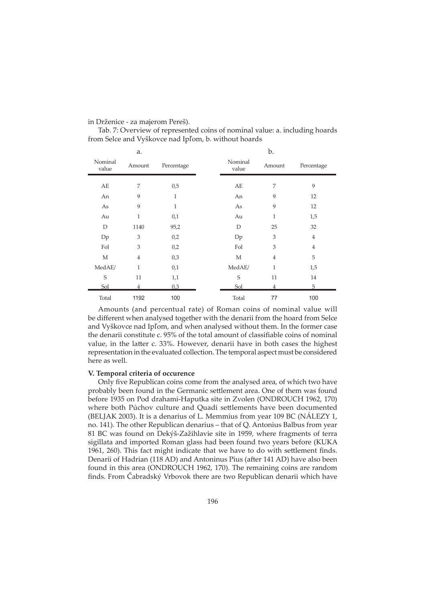### in Drženice - za majerom Pereš).

Tab. 7: Overview of represented coins of nominal value: a. including hoards from Selce and Vyškovce nad Ipľom, b. without hoards

|                  | a.             |              |  |                  | b.             |                |
|------------------|----------------|--------------|--|------------------|----------------|----------------|
| Nominal<br>value | Amount         | Percentage   |  | Nominal<br>value | Amount         | Percentage     |
|                  |                |              |  |                  |                |                |
| AE               | 7              | 0,5          |  | AE               | 7              | 9              |
| An               | 9              | $\mathbf{1}$ |  | An               | 9              | 12             |
| As               | 9              | $\mathbf{1}$ |  | As               | 9              | 12             |
| Au               | 1              | 0,1          |  | Au               | $\mathbf{1}$   | 1,5            |
| D                | 1140           | 95,2         |  | D                | 25             | 32             |
| Dp               | 3              | 0,2          |  | Dp               | 3              | $\overline{4}$ |
| Fol              | 3              | 0,2          |  | Fol              | 3              | $\overline{4}$ |
| M                | $\overline{4}$ | 0,3          |  | M                | $\overline{4}$ | 5              |
| MedAE/           | 1              | 0,1          |  | MedAE/           | 1              | 1,5            |
| S                | 11             | 1,1          |  | S                | 11             | 14             |
| Sol              |                | 0.3          |  | Sol              |                | 5              |
| Total            | 1192           | 100          |  | Total            | 77             | 100            |

Amounts (and percentual rate) of Roman coins of nominal value will be different when analysed together with the denarii from the hoard from Selce and Vyškovce nad Ipľom, and when analysed without them. In the former case the denarii constitute c. 95% of the total amount of classifiable coins of nominal value, in the latter c. 33%. However, denarii have in both cases the highest representation in the evaluated collection. The temporal aspect must be considered here as well.

### **V. Temporal criteria of occurence**

Only five Republican coins come from the analysed area, of which two have probably been found in the Germanic se�lement area. One of them was found before 1935 on Pod drahami-Haputka site in Zvolen (ONDROUCH 1962, 170) where both Púchov culture and Quadi settlements have been documented (BELJAK 2003). It is a denarius of L. Memmius from year 109 BC (NÁLEZY 1, no. 141). The other Republican denarius – that of Q. Antonius Balbus from year 81 BC was found on Dekýš-Zažihlavie site in 1959, where fragments of terra sigillata and imported Roman glass had been found two years before (KUKA 1961, 260). This fact might indicate that we have to do with settlement finds. Denarii of Hadrian (118 AD) and Antoninus Pius (a�er 141 AD) have also been found in this area (ONDROUCH 1962, 170). The remaining coins are random finds. From Čabradský Vrbovok there are two Republican denarii which have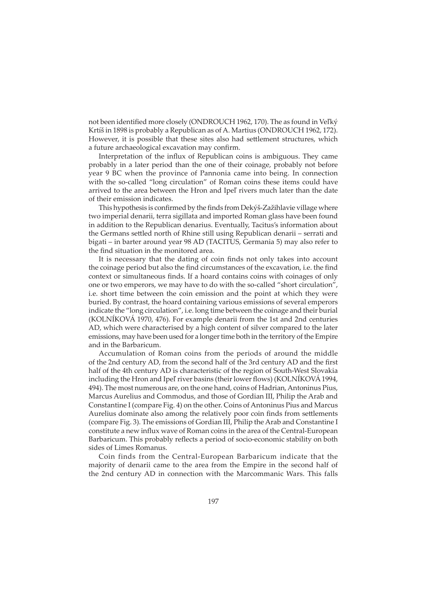not been identified more closely (ONDROUCH 1962, 170). The as found in Veľký Krtíš in 1898 is probably a Republican as of A. Martius (ONDROUCH 1962, 172). However, it is possible that these sites also had settlement structures, which a future archaeological excavation may confirm.

Interpretation of the influx of Republican coins is ambiguous. They came probably in a later period than the one of their coinage, probably not before year 9 BC when the province of Pannonia came into being. In connection with the so-called "long circulation" of Roman coins these items could have arrived to the area between the Hron and Ipeľ rivers much later than the date of their emission indicates.

This hypothesis is confirmed by the finds from Dekýš-Zažihlavie village where two imperial denarii, terra sigillata and imported Roman glass have been found in addition to the Republican denarius. Eventually, Tacitus's information about the Germans settled north of Rhine still using Republican denarii – serrati and bigati – in barter around year 98 AD (TACITUS, Germania 5) may also refer to the find situation in the monitored area.

It is necessary that the dating of coin finds not only takes into account the coinage period but also the find circumstances of the excavation, i.e. the find context or simultaneous finds. If a hoard contains coins with coinages of only one or two emperors, we may have to do with the so-called "short circulation", i.e. short time between the coin emission and the point at which they were buried. By contrast, the hoard containing various emissions of several emperors indicate the "long circulation", i.e. long time between the coinage and their burial (KOLNÍKOVÁ 1970, 476). For example denarii from the 1st and 2nd centuries AD, which were characterised by a high content of silver compared to the later emissions, may have been used for a longer time both in the territory of the Empire and in the Barbaricum.

Accumulation of Roman coins from the periods of around the middle of the 2nd century AD, from the second half of the 3rd century AD and the first half of the 4th century AD is characteristic of the region of South-West Slovakia including the Hron and Ipeľ river basins (their lower flows) (KOLNÍKOVÁ 1994, 494). The most numerous are, on the one hand, coins of Hadrian, Antoninus Pius, Marcus Aurelius and Commodus, and those of Gordian III, Philip the Arab and Constantine I (compare Fig. 4) on the other. Coins of Antoninus Pius and Marcus Aurelius dominate also among the relatively poor coin finds from settlements (compare Fig. 3). The emissions of Gordian III, Philip the Arab and Constantine I constitute a new influx wave of Roman coins in the area of the Central-European Barbaricum. This probably reflects a period of socio-economic stability on both sides of Limes Romanus.

Coin finds from the Central-European Barbaricum indicate that the majority of denarii came to the area from the Empire in the second half of the 2nd century AD in connection with the Marcommanic Wars. This falls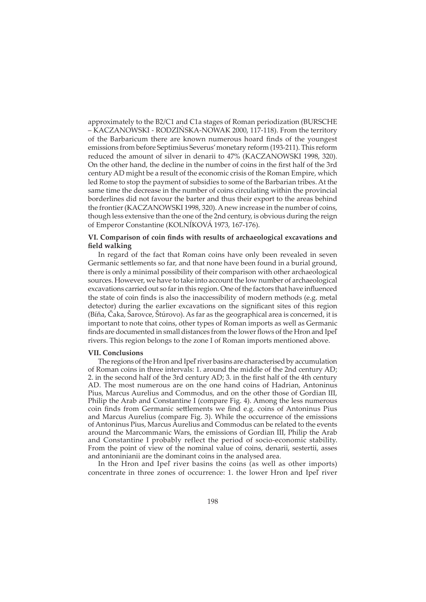approximately to the B2/C1 and C1a stages of Roman periodization (BURSCHE – KACZANOWSKI - RODZIŃSKA-NOWAK 2000, 117-118). From the territory of the Barbaricum there are known numerous hoard finds of the youngest emissions from before Septimius Severus' monetary reform (193-211). This reform reduced the amount of silver in denarii to 47% (KACZANOWSKI 1998, 320). On the other hand, the decline in the number of coins in the first half of the 3rd century AD might be a result of the economic crisis of the Roman Empire, which led Rome to stop the payment of subsidies to some of the Barbarian tribes. At the same time the decrease in the number of coins circulating within the provincial borderlines did not favour the barter and thus their export to the areas behind the frontier (KACZANOWSKI 1998, 320). A new increase in the number of coins, though less extensive than the one of the 2nd century, is obvious during the reign of Emperor Constantine (KOLNÍKOVÁ 1973, 167-176).

# **VI. Comparison of coin finds with results of archaeological excavations and field walking**

In regard of the fact that Roman coins have only been revealed in seven Germanic settlements so far, and that none have been found in a burial ground, there is only a minimal possibility of their comparison with other archaeological sources. However, we have to take into account the low number of archaeological excavations carried out so far in this region. One of the factors that have influenced the state of coin finds is also the inaccessibility of modern methods (e.g. metal detector) during the earlier excavations on the significant sites of this region (Bíňa, Čaka, Šarovce, Štúrovo). As far as the geographical area is concerned, it is important to note that coins, other types of Roman imports as well as Germanic finds are documented in small distances from the lower flows of the Hron and Ipeľ rivers. This region belongs to the zone I of Roman imports mentioned above.

#### **VII. Conclusions**

The regions of the Hron and Ipeľ river basins are characterised by accumulation of Roman coins in three intervals: 1. around the middle of the 2nd century AD; 2. in the second half of the 3rd century AD; 3. in the first half of the 4th century AD. The most numerous are on the one hand coins of Hadrian, Antoninus Pius, Marcus Aurelius and Commodus, and on the other those of Gordian III, Philip the Arab and Constantine I (compare Fig. 4). Among the less numerous coin finds from Germanic settlements we find e.g. coins of Antoninus Pius and Marcus Aurelius (compare Fig. 3). While the occurrence of the emissions of Antoninus Pius, Marcus Aurelius and Commodus can be related to the events around the Marcommanic Wars, the emissions of Gordian III, Philip the Arab and Constantine I probably reflect the period of socio-economic stability. From the point of view of the nominal value of coins, denarii, sestertii, asses and antoninianii are the dominant coins in the analysed area.

In the Hron and Ipeľ river basins the coins (as well as other imports) concentrate in three zones of occurrence: 1. the lower Hron and Ipeľ river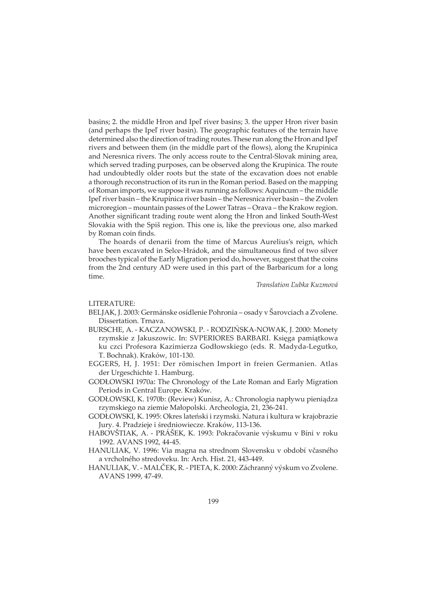basins; 2. the middle Hron and Ipeľ river basins; 3. the upper Hron river basin (and perhaps the Ipeľ river basin). The geographic features of the terrain have determined also the direction of trading routes. These run along the Hron and Ipeľ rivers and between them (in the middle part of the flows), along the Krupinica and Neresnica rivers. The only access route to the Central-Slovak mining area, which served trading purposes, can be observed along the Krupinica. The route had undoubtedly older roots but the state of the excavation does not enable a thorough reconstruction of its run in the Roman period. Based on the mapping of Roman imports, we suppose it was running as follows: Aquincum – the middle Ipeľ river basin – the Krupinica river basin – the Neresnica river basin – the Zvolen microregion – mountain passes of the Lower Tatras – Orava – the Krakow region. Another significant trading route went along the Hron and linked South-West Slovakia with the Spiš region. This one is, like the previous one, also marked by Roman coin finds.

The hoards of denarii from the time of Marcus Aurelius's reign, which have been excavated in Selce-Hrádok, and the simultaneous find of two silver brooches typical of the Early Migration period do, however, suggest that the coins from the 2nd century AD were used in this part of the Barbaricum for a long time.

*Translation Ľubka Kuzmová*

#### LITERATURE:

- BELJAK, J. 2003: Germánske osídlenie Pohronia osady v Šarovciach a Zvolene. Dissertation. Trnava.
- BURSCHE, A. KACZANOWSKI, P. RODZIŃSKA-NOWAK, J. 2000: Monety rzymskie z Jakuszowic. In: SVPERIORES BARBARI. Księga pamiątkowa ku czci Profesora Kazimierza Godłowskiego (eds. R. Madyda-Legutko, T. Bochnak). Kraków, 101-130.
- EGGERS, H, J. 1951: Der römischen Import in freien Germanien. Atlas der Urgeschichte 1. Hamburg.
- GODŁOWSKI 1970a: The Chronology of the Late Roman and Early Migration Periods in Central Europe. Kraków.
- GODŁOWSKI, K. 1970b: (Review) Kunisz, A.: Chronologia napływu pieniądza rzymskiego na ziemie Małopolski. Archeologia, 21, 236-241.
- GODŁOWSKI, K. 1995: Okres lateński i rzymski. Natura i kultura w krajobrazie Jury. 4. Pradzieje i średniowiecze. Kraków, 113-136.
- HABOVŠTIAK, A. PRÁŠEK, K. 1993: Pokračovanie výskumu v Bíni v roku 1992. AVANS 1992, 44-45.
- HANULIAK, V. 1996: Via magna na strednom Slovensku v období včasného a vrcholného stredoveku. In: Arch. Hist. 21, 443-449.
- HANULIAK, V. MALČEK, R. PIETA, K. 2000: Záchranný výskum vo Zvolene. AVANS 1999, 47-49.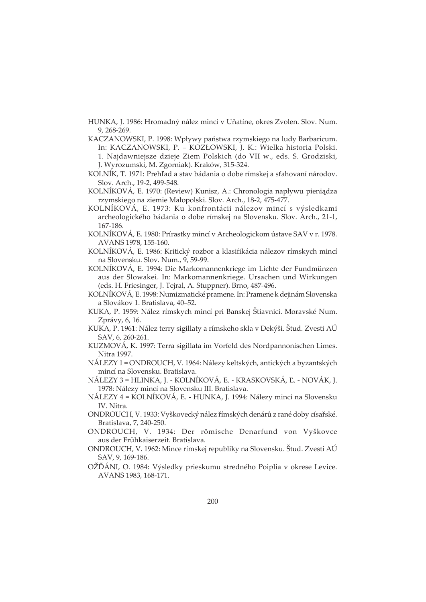- HUNKA, J. 1986: Hromadný nález mincí v Uňatíne, okres Zvolen. Slov. Num. 9, 268-269.
- KACZANOWSKI, P. 1998: Wpływy państwa rzymskiego na ludy Barbaricum. In: KACZANOWSKI, P. – KOZŁOWSKI, J. K.: Wielka historia Polski. 1. Najdawniejsze dzieje Ziem Polskich (do VII w., eds. S. Grodziski, J. Wyrozumski, M. Zgorniak). Kraków, 315-324.
- KOLNÍK, T. 1971: Prehľad a stav bádania o dobe rímskej a sťahovaní národov. Slov. Arch., 19-2, 499-548.
- KOLNÍKOVÁ, E. 1970: (Review) Kunisz, A.: Chronologia napływu pieniądza rzymskiego na ziemie Małopolski. Slov. Arch., 18-2, 475-477.
- KOLNÍKOVÁ, E. 1973: Ku konfrontácii nálezov mincí s výsledkami archeologického bádania o dobe rímskej na Slovensku. Slov. Arch., 21-1, 167-186.
- KOLNÍKOVÁ, E. 1980: Prírastky mincí v Archeologickom ústave SAV v r. 1978. AVANS 1978, 155-160.
- KOLNÍKOVÁ, E. 1986: Kritický rozbor a klasifikácia nálezov rímskych mincí na Slovensku. Slov. Num., 9, 59-99.
- KOLNÍKOVÁ, E. 1994: Die Markomannenkriege im Lichte der Fundmünzen aus der Slowakei. In: Markomannenkriege. Ursachen und Wirkungen (eds. H. Friesinger, J. Tejral, A. Stuppner). Brno, 487-496.
- KOLNÍKOVÁ, E. 1998: Numizmatické pramene. In: Pramene k dejinám Slovenska a Slovákov 1. Bratislava, 40–52.
- KUKA, P. 1959: Nález rímskych mincí pri Banskej Štiavnici. Moravské Num. Zprávy, 6, 16.
- KUKA, P. 1961: Nález terry sigillaty a rímskeho skla v Dekýši. Štud. Zvesti AÚ SAV, 6, 260-261.
- KUZMOVÁ, K. 1997: Terra sigillata im Vorfeld des Nordpannonischen Limes. Nitra 1997.
- NÁLEZY 1 = ONDROUCH, V. 1964: Nálezy keltských, antických a byzantských mincí na Slovensku. Bratislava.
- NÁLEZY 3 = HLINKA, J. KOLNÍKOVÁ, E. KRASKOVSKÁ, Ľ. NOVÁK, J. 1978: Nálezy mincí na Slovensku III. Bratislava.
- NÁLEZY 4 = KOLNÍKOVÁ, E. HUNKA, J. 1994: Nálezy mincí na Slovensku IV. Nitra.
- ONDROUCH, V. 1933: Vyškovecký nález římských denárů z rané doby císařské. Bratislava, 7, 240-250.
- ONDROUCH, V. 1934: Der römische Denarfund von Vyškovce aus der Frühkaiserzeit. Bratislava.
- ONDROUCH, V. 1962: Mince rímskej republiky na Slovensku. Štud. Zvesti AÚ SAV, 9, 169-186.
- OŽĎÁNI, O. 1984: Výsledky prieskumu stredného Poiplia v okrese Levice. AVANS 1983, 168-171.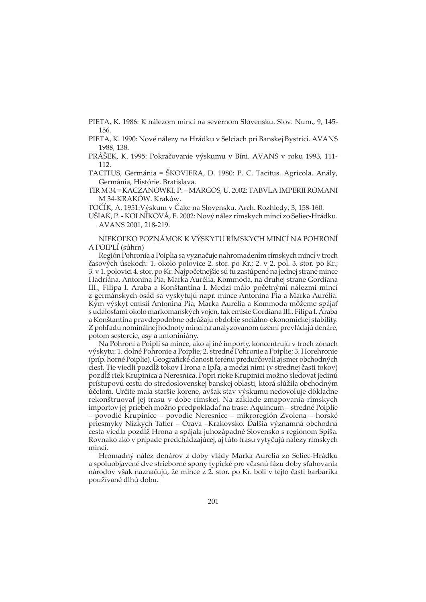PIETA, K. 1986: K nálezom mincí na severnom Slovensku. Slov. Num., 9, 145- 156.

PIETA, K. 1990: Nové nálezy na Hrádku v Selciach pri Banskej Bystrici. AVANS 1988, 138.

PRÁŠEK, K. 1995: Pokračovanie výskumu v Bíni. AVANS v roku 1993, 111- 112.

TACITUS, Germánia = ŠKOVIERA, D. 1980: P. C. Tacitus. Agricola. Anály, Germánia, Histórie. Bratislava.

TIR M 34 = KACZANOWKI, P. – MARGOS, U. 2002: TABVLA IMPERII ROMANI M 34-KRAKÓW. Kraków.

TOČÍK, A. 1951:Výskum v Čake na Slovensku. Arch. Rozhledy, 3, 158-160.

UŠIAK, P. - KOLNÍKOVÁ, E. 2002: Nový nález rímskych mincí zo Seliec-Hrádku. AVANS 2001, 218-219.

NIEKOĽKO POZNÁMOK K VÝSKYTU RÍMSKYCH MINCÍ NA POHRONÍ A POIPLÍ (súhrn)

Región Pohronia a Poiplia sa vyznačuje nahromadením rímskych mincí v troch časových úsekoch: 1. okolo polovice 2. stor. po Kr.; 2. v 2. pol. 3. stor. po Kr.; 3. v 1. polovici 4. stor. po Kr. Najpočetnejšie sú tu zastúpené na jednej strane mince Hadriána, Antonina Pia, Marka Aurélia, Kommoda, na druhej strane Gordiana III., Filipa I. Araba a Konštantína I. Medzi málo početnými nálezmi mincí z germánskych osád sa vyskytujú napr. mince Antonina Pia a Marka Aurélia. Kým výskyt emisií Antonina Pia, Marka Aurélia a Kommoda môžeme spájať s udalosťami okolo markomanských vojen, tak emisie Gordiana III., Filipa I. Araba a Konštantína pravdepodobne odrážajú obdobie sociálno-ekonomickej stability. Z pohľadu nominálnej hodnoty mincí na analyzovanom území prevládajú denáre, potom sestercie, asy a antoniniány.

Na Pohroní a Poiplí sa mince, ako aj iné importy, koncentrujú v troch zónach výskytu: 1. dolné Pohronie a Poiplie; 2. stredné Pohronie a Poiplie; 3. Horehronie (príp. horné Poiplie). Geografické danosti terénu predurčovali aj smer obchodných ciest. Tie viedli pozdĺž tokov Hrona a Ipľa, a medzi nimi (v strednej časti tokov) pozdĺž riek Krupinica a Neresnica. Popri rieke Krupinici možno sledovať jedinú prístupovú cestu do stredoslovenskej banskej oblasti, ktorá slúžila obchodným účelom. Určite mala staršie korene, avšak stav výskumu nedovoľuje dôkladne rekonštruovať jej trasu v dobe rímskej. Na základe zmapovania rímskych importov jej priebeh možno predpokladať na trase: Aquincum – stredné Poiplie – povodie Krupinice – povodie Neresnice – mikroregión Zvolena – horské priesmyky Nízkych Tatier – Orava –Krakovsko. Ďalšia významná obchodná cesta viedla pozdĺž Hrona a spájala juhozápadné Slovensko s regiónom Spiša. Rovnako ako v prípade predchádzajúcej, aj túto trasu vytyčujú nálezy rímskych mincí.

Hromadný nález denárov z doby vlády Marka Aurelia zo Seliec-Hrádku a spoluobjavené dve strieborné spony typické pre včasnú fázu doby sťahovania národov však naznačujú, že mince z 2. stor. po Kr. boli v tejto časti barbarika používané dlhú dobu.